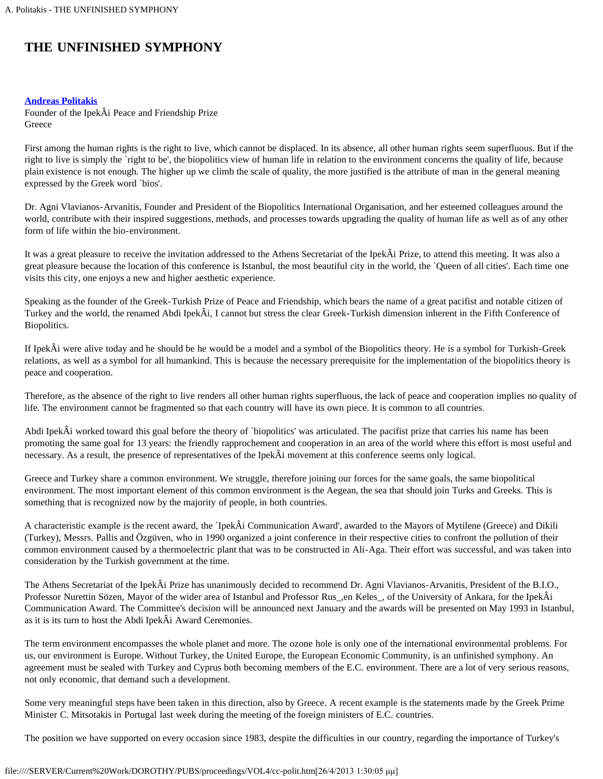## **THE UNFINISHED SYMPHONY**

## **[Andreas Politakis](#page-1-0)**

Founder of the IpekÂi Peace and Friendship Prize Greece

First among the human rights is the right to live, which cannot be displaced. In its absence, all other human rights seem superfluous. But if the right to live is simply the `right to be', the biopolitics view of human life in relation to the environment concerns the quality of life, because plain existence is not enough. The higher up we climb the scale of quality, the more justified is the attribute of man in the general meaning expressed by the Greek word `bios'.

Dr. Agni Vlavianos-Arvanitis, Founder and President of the Biopolitics International Organisation, and her esteemed colleagues around the world, contribute with their inspired suggestions, methods, and processes towards upgrading the quality of human life as well as of any other form of life within the bio-environment.

It was a great pleasure to receive the invitation addressed to the Athens Secretariat of the IpekÂi Prize, to attend this meeting. It was also a great pleasure because the location of this conference is Istanbul, the most beautiful city in the world, the `Queen of all cities'. Each time one visits this city, one enjoys a new and higher aesthetic experience.

Speaking as the founder of the Greek-Turkish Prize of Peace and Friendship, which bears the name of a great pacifist and notable citizen of Turkey and the world, the renamed Abdi IpekÂi, I cannot but stress the clear Greek-Turkish dimension inherent in the Fifth Conference of Biopolitics.

If IpekÂi were alive today and he should be he would be a model and a symbol of the Biopolitics theory. He is a symbol for Turkish-Greek relations, as well as a symbol for all humankind. This is because the necessary prerequisite for the implementation of the biopolitics theory is peace and cooperation.

Therefore, as the absence of the right to live renders all other human rights superfluous, the lack of peace and cooperation implies no quality of life. The environment cannot be fragmented so that each country will have its own piece. It is common to all countries.

Abdi IpekÂi worked toward this goal before the theory of `biopolitics' was articulated. The pacifist prize that carries his name has been promoting the same goal for 13 years: the friendly rapprochement and cooperation in an area of the world where this effort is most useful and necessary. As a result, the presence of representatives of the IpekÂi movement at this conference seems only logical.

Greece and Turkey share a common environment. We struggle, therefore joining our forces for the same goals, the same biopolitical environment. The most important element of this common environment is the Aegean, the sea that should join Turks and Greeks. This is something that is recognized now by the majority of people, in both countries.

A characteristic example is the recent award, the `IpekÂi Communication Award', awarded to the Mayors of Mytilene (Greece) and Dikili (Turkey), Messrs. Pallis and Özgüven, who in 1990 organized a joint conference in their respective cities to confront the pollution of their common environment caused by a thermoelectric plant that was to be constructed in Ali-Aga. Their effort was successful, and was taken into consideration by the Turkish government at the time.

The Athens Secretariat of the IpekÂi Prize has unanimously decided to recommend Dr. Agni Vlavianos-Arvanitis, President of the B.I.O., Professor Nurettin Sözen, Mayor of the wider area of Istanbul and Professor Rus<sub>s</sub>, en Keles<sub>s</sub>, of the University of Ankara, for the IpekÂi Communication Award. The Committee's decision will be announced next January and the awards will be presented on May 1993 in Istanbul, as it is its turn to host the Abdi IpekÂi Award Ceremonies.

The term environment encompasses the whole planet and more. The ozone hole is only one of the international environmental problems. For us, our environment is Europe. Without Turkey, the United Europe, the European Economic Community, is an unfinished symphony. An agreement must be sealed with Turkey and Cyprus both becoming members of the E.C. environment. There are a lot of very serious reasons, not only economic, that demand such a development.

Some very meaningful steps have been taken in this direction, also by Greece. A recent example is the statements made by the Greek Prime Minister C. Mitsotakis in Portugal last week during the meeting of the foreign ministers of E.C. countries.

The position we have supported on every occasion since 1983, despite the difficulties in our country, regarding the importance of Turkey's